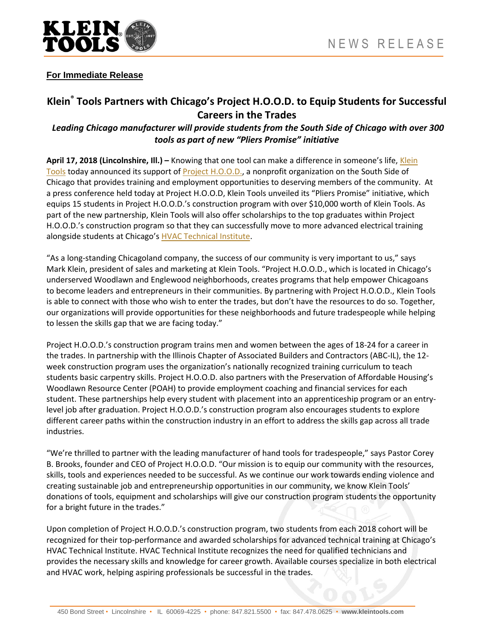

## **For Immediate Release**

# **Klein® Tools Partners with Chicago's Project H.O.O.D. to Equip Students for Successful Careers in the Trades**

## *Leading Chicago manufacturer will provide students from the South Side of Chicago with over 300 tools as part of new "Pliers Promise" initiative*

**April 17, 2018 (Lincolnshire, Ill.) –** Knowing that one tool can make a difference in someone's life, [Klein](http://www.kleintools.com/)  [Tools](http://www.kleintools.com/) today announced its support of [Project H.O.O.D.,](https://www.projecthood.org/) a nonprofit organization on the South Side of Chicago that provides training and employment opportunities to deserving members of the community. At a press conference held today at Project H.O.O.D, Klein Tools unveiled its "Pliers Promise" initiative, which equips 15 students in Project H.O.O.D.'s construction program with over \$10,000 worth of Klein Tools. As part of the new partnership, Klein Tools will also offer scholarships to the top graduates within Project H.O.O.D.'s construction program so that they can successfully move to more advanced electrical training alongside students at Chicago's **HVAC Technical Institute**.

"As a long-standing Chicagoland company, the success of our community is very important to us," says Mark Klein, president of sales and marketing at Klein Tools. "Project H.O.O.D., which is located in Chicago's underserved Woodlawn and Englewood neighborhoods, creates programs that help empower Chicagoans to become leaders and entrepreneurs in their communities. By partnering with Project H.O.O.D., Klein Tools is able to connect with those who wish to enter the trades, but don't have the resources to do so. Together, our organizations will provide opportunities for these neighborhoods and future tradespeople while helping to lessen the skills gap that we are facing today."

Project H.O.O.D.'s construction program trains men and women between the ages of 18-24 for a career in the trades. In partnership with the Illinois Chapter of Associated Builders and Contractors (ABC-IL), the 12 week construction program uses the organization's nationally recognized training curriculum to teach students basic carpentry skills. Project H.O.O.D. also partners with the Preservation of Affordable Housing's Woodlawn Resource Center (POAH) to provide employment coaching and financial services for each student. These partnerships help every student with placement into an apprenticeship program or an entrylevel job after graduation. Project H.O.O.D.'s construction program also encourages students to explore different career paths within the construction industry in an effort to address the skills gap across all trade industries.

"We're thrilled to partner with the leading manufacturer of hand tools for tradespeople," says Pastor Corey B. Brooks, founder and CEO of Project H.O.O.D. "Our mission is to equip our community with the resources, skills, tools and experiences needed to be successful. As we continue our work towards ending violence and creating sustainable job and entrepreneurship opportunities in our community, we know Klein Tools' donations of tools, equipment and scholarships will give our construction program students the opportunity for a bright future in the trades."

Upon completion of Project H.O.O.D.'s construction program, two students from each 2018 cohort will be recognized for their top-performance and awarded scholarships for advanced technical training at Chicago's HVAC Technical Institute. HVAC Technical Institute recognizes the need for qualified technicians and provides the necessary skills and knowledge for career growth. Available courses specialize in both electrical and HVAC work, helping aspiring professionals be successful in the trades.